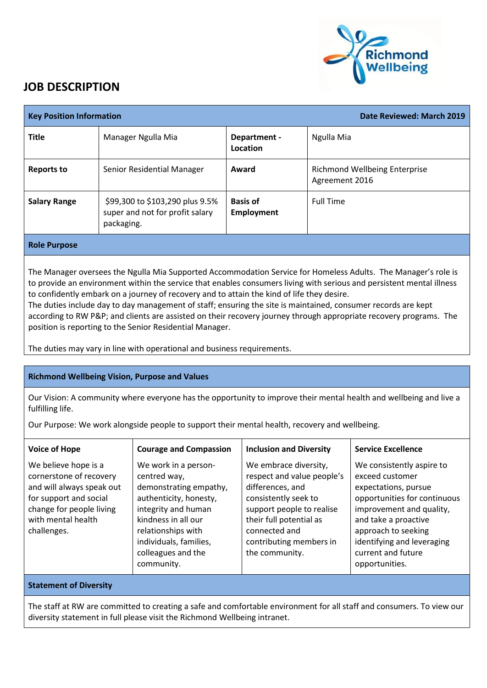

## **JOB DESCRIPTION**

| <b>Key Position Information</b> |                                                                                  |                                      | Date Reviewed: March 2019                              |
|---------------------------------|----------------------------------------------------------------------------------|--------------------------------------|--------------------------------------------------------|
| <b>Title</b>                    | Manager Ngulla Mia                                                               | Department -<br>Location             | Ngulla Mia                                             |
| <b>Reports to</b>               | Senior Residential Manager                                                       | Award                                | <b>Richmond Wellbeing Enterprise</b><br>Agreement 2016 |
| <b>Salary Range</b>             | \$99,300 to \$103,290 plus 9.5%<br>super and not for profit salary<br>packaging. | <b>Basis of</b><br><b>Employment</b> | <b>Full Time</b>                                       |
| <b>Role Purpose</b>             |                                                                                  |                                      |                                                        |

The Manager oversees the Ngulla Mia Supported Accommodation Service for Homeless Adults. The Manager's role is to provide an environment within the service that enables consumers living with serious and persistent mental illness to confidently embark on a journey of recovery and to attain the kind of life they desire.

The duties include day to day management of staff; ensuring the site is maintained, consumer records are kept according to RW P&P; and clients are assisted on their recovery journey through appropriate recovery programs. The position is reporting to the Senior Residential Manager.

The duties may vary in line with operational and business requirements.

## **Richmond Wellbeing Vision, Purpose and Values**

Our Vision: A community where everyone has the opportunity to improve their mental health and wellbeing and live a fulfilling life.

Our Purpose: We work alongside people to support their mental health, recovery and wellbeing.

| <b>Voice of Hope</b>                                                                                                                                                    | <b>Courage and Compassion</b>                                                                                                                                                                                              | <b>Inclusion and Diversity</b>                                                                                                                                                                                        | <b>Service Excellence</b>                                                                                                                                                                                                                             |
|-------------------------------------------------------------------------------------------------------------------------------------------------------------------------|----------------------------------------------------------------------------------------------------------------------------------------------------------------------------------------------------------------------------|-----------------------------------------------------------------------------------------------------------------------------------------------------------------------------------------------------------------------|-------------------------------------------------------------------------------------------------------------------------------------------------------------------------------------------------------------------------------------------------------|
| We believe hope is a<br>cornerstone of recovery<br>and will always speak out<br>for support and social<br>change for people living<br>with mental health<br>challenges. | We work in a person-<br>centred way,<br>demonstrating empathy,<br>authenticity, honesty,<br>integrity and human<br>kindness in all our<br>relationships with<br>individuals, families,<br>colleagues and the<br>community. | We embrace diversity,<br>respect and value people's<br>differences, and<br>consistently seek to<br>support people to realise<br>their full potential as<br>connected and<br>contributing members in<br>the community. | We consistently aspire to<br>exceed customer<br>expectations, pursue<br>opportunities for continuous<br>improvement and quality,<br>and take a proactive<br>approach to seeking<br>identifying and leveraging<br>current and future<br>opportunities. |
| <b>Statement of Diversity</b>                                                                                                                                           |                                                                                                                                                                                                                            |                                                                                                                                                                                                                       |                                                                                                                                                                                                                                                       |

The staff at RW are committed to creating a safe and comfortable environment for all staff and consumers. To view our diversity statement in full please visit the Richmond Wellbeing intranet.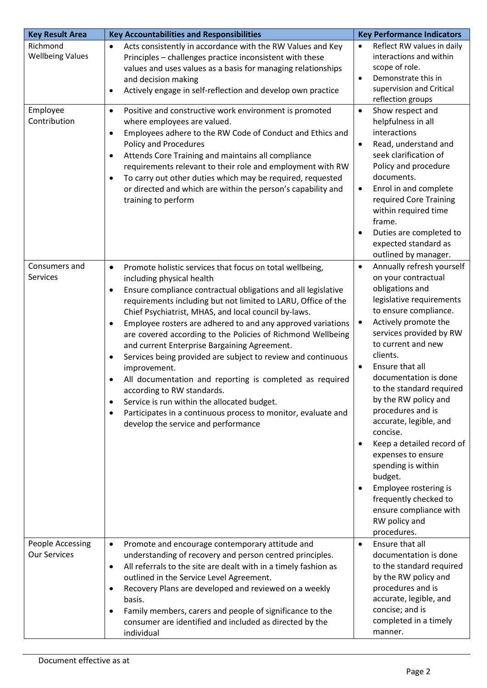| <b>Key Result Area</b>                  | <b>Key Accountabilities and Responsibilities</b>                                                                                                                                                                                                                                                                                                                                                                                                                                                                                                                                                                                                                                                                                                                                                                                      | <b>Key Performance Indicators</b>                                                                                                                                                                                                                                                                                                                                                                                                                                                                                                                                                                                                         |
|-----------------------------------------|---------------------------------------------------------------------------------------------------------------------------------------------------------------------------------------------------------------------------------------------------------------------------------------------------------------------------------------------------------------------------------------------------------------------------------------------------------------------------------------------------------------------------------------------------------------------------------------------------------------------------------------------------------------------------------------------------------------------------------------------------------------------------------------------------------------------------------------|-------------------------------------------------------------------------------------------------------------------------------------------------------------------------------------------------------------------------------------------------------------------------------------------------------------------------------------------------------------------------------------------------------------------------------------------------------------------------------------------------------------------------------------------------------------------------------------------------------------------------------------------|
| Richmond<br><b>Wellbeing Values</b>     | Acts consistently in accordance with the RW Values and Key<br>$\bullet$<br>Principles - challenges practice inconsistent with these<br>values and uses values as a basis for managing relationships<br>and decision making<br>Actively engage in self-reflection and develop own practice<br>$\bullet$                                                                                                                                                                                                                                                                                                                                                                                                                                                                                                                                | Reflect RW values in daily<br>$\bullet$<br>interactions and within<br>scope of role.<br>Demonstrate this in<br>$\bullet$<br>supervision and Critical<br>reflection groups                                                                                                                                                                                                                                                                                                                                                                                                                                                                 |
| Employee<br>Contribution                | Positive and constructive work environment is promoted<br>$\bullet$<br>where employees are valued.<br>Employees adhere to the RW Code of Conduct and Ethics and<br>$\bullet$<br><b>Policy and Procedures</b><br>Attends Core Training and maintains all compliance<br>$\bullet$<br>requirements relevant to their role and employment with RW<br>To carry out other duties which may be required, requested<br>or directed and which are within the person's capability and<br>training to perform                                                                                                                                                                                                                                                                                                                                    | Show respect and<br>$\bullet$<br>helpfulness in all<br>interactions<br>Read, understand and<br>$\bullet$<br>seek clarification of<br>Policy and procedure<br>documents.<br>Enrol in and complete<br>$\bullet$<br>required Core Training<br>within required time<br>frame.<br>Duties are completed to<br>$\bullet$<br>expected standard as<br>outlined by manager.                                                                                                                                                                                                                                                                         |
| Consumers and<br>Services               | Promote holistic services that focus on total wellbeing,<br>$\bullet$<br>including physical health<br>Ensure compliance contractual obligations and all legislative<br>$\bullet$<br>requirements including but not limited to LARU, Office of the<br>Chief Psychiatrist, MHAS, and local council by-laws.<br>Employee rosters are adhered to and any approved variations<br>$\bullet$<br>are covered according to the Policies of Richmond Wellbeing<br>and current Enterprise Bargaining Agreement.<br>Services being provided are subject to review and continuous<br>improvement.<br>All documentation and reporting is completed as required<br>according to RW standards.<br>Service is run within the allocated budget.<br>Participates in a continuous process to monitor, evaluate and<br>develop the service and performance | Annually refresh yourself<br>$\bullet$<br>on your contractual<br>obligations and<br>legislative requirements<br>to ensure compliance.<br>Actively promote the<br>$\bullet$<br>services provided by RW<br>to current and new<br>clients.<br>Ensure that all<br>$\bullet$<br>documentation is done<br>to the standard required<br>by the RW policy and<br>procedures and is<br>accurate, legible, and<br>concise.<br>Keep a detailed record of<br>$\bullet$<br>expenses to ensure<br>spending is within<br>budget.<br>Employee rostering is<br>$\bullet$<br>frequently checked to<br>ensure compliance with<br>RW policy and<br>procedures. |
| People Accessing<br><b>Our Services</b> | Promote and encourage contemporary attitude and<br>$\bullet$<br>understanding of recovery and person centred principles.<br>All referrals to the site are dealt with in a timely fashion as<br>$\bullet$<br>outlined in the Service Level Agreement.<br>Recovery Plans are developed and reviewed on a weekly<br>$\bullet$<br>basis.<br>Family members, carers and people of significance to the<br>consumer are identified and included as directed by the<br>individual                                                                                                                                                                                                                                                                                                                                                             | Ensure that all<br>$\bullet$<br>documentation is done<br>to the standard required<br>by the RW policy and<br>procedures and is<br>accurate, legible, and<br>concise; and is<br>completed in a timely<br>manner.                                                                                                                                                                                                                                                                                                                                                                                                                           |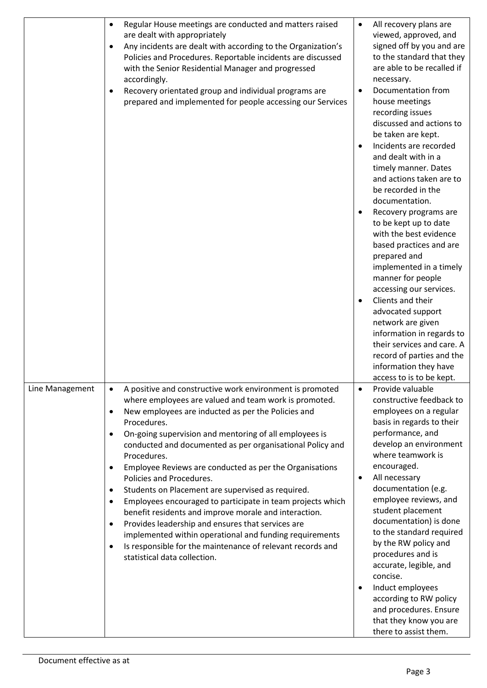|                 | Regular House meetings are conducted and matters raised<br>٠                                               | $\bullet$ | All recovery plans are                  |
|-----------------|------------------------------------------------------------------------------------------------------------|-----------|-----------------------------------------|
|                 | are dealt with appropriately                                                                               |           | viewed, approved, and                   |
|                 | Any incidents are dealt with according to the Organization's<br>$\bullet$                                  |           | signed off by you and are               |
|                 | Policies and Procedures. Reportable incidents are discussed                                                |           | to the standard that they               |
|                 | with the Senior Residential Manager and progressed                                                         |           | are able to be recalled if              |
|                 | accordingly.                                                                                               |           | necessary.                              |
|                 | Recovery orientated group and individual programs are<br>$\bullet$                                         | $\bullet$ | Documentation from                      |
|                 | prepared and implemented for people accessing our Services                                                 |           | house meetings                          |
|                 |                                                                                                            |           | recording issues                        |
|                 |                                                                                                            |           | discussed and actions to                |
|                 |                                                                                                            |           | be taken are kept.                      |
|                 |                                                                                                            | $\bullet$ | Incidents are recorded                  |
|                 |                                                                                                            |           | and dealt with in a                     |
|                 |                                                                                                            |           | timely manner. Dates                    |
|                 |                                                                                                            |           | and actions taken are to                |
|                 |                                                                                                            |           | be recorded in the                      |
|                 |                                                                                                            |           | documentation.                          |
|                 |                                                                                                            |           | Recovery programs are                   |
|                 |                                                                                                            |           | to be kept up to date                   |
|                 |                                                                                                            |           | with the best evidence                  |
|                 |                                                                                                            |           | based practices and are                 |
|                 |                                                                                                            |           | prepared and<br>implemented in a timely |
|                 |                                                                                                            |           | manner for people                       |
|                 |                                                                                                            |           | accessing our services.                 |
|                 |                                                                                                            | $\bullet$ | Clients and their                       |
|                 |                                                                                                            |           | advocated support                       |
|                 |                                                                                                            |           | network are given                       |
|                 |                                                                                                            |           | information in regards to               |
|                 |                                                                                                            |           | their services and care. A              |
|                 |                                                                                                            |           | record of parties and the               |
|                 |                                                                                                            |           | information they have                   |
|                 |                                                                                                            |           | access to is to be kept.                |
| Line Management | A positive and constructive work environment is promoted<br>$\bullet$                                      | $\bullet$ | Provide valuable                        |
|                 | where employees are valued and team work is promoted.                                                      |           | constructive feedback to                |
|                 | New employees are inducted as per the Policies and<br>$\bullet$                                            |           | employees on a regular                  |
|                 | Procedures.                                                                                                |           | basis in regards to their               |
|                 | On-going supervision and mentoring of all employees is<br>$\bullet$                                        |           | performance, and                        |
|                 | conducted and documented as per organisational Policy and                                                  |           | develop an environment                  |
|                 | Procedures.                                                                                                |           | where teamwork is                       |
|                 | Employee Reviews are conducted as per the Organisations                                                    |           | encouraged.                             |
|                 | Policies and Procedures.                                                                                   | $\bullet$ | All necessary<br>documentation (e.g.    |
|                 | Students on Placement are supervised as required.                                                          |           | employee reviews, and                   |
|                 | Employees encouraged to participate in team projects which<br>٠                                            |           | student placement                       |
|                 | benefit residents and improve morale and interaction.<br>Provides leadership and ensures that services are |           | documentation) is done                  |
|                 | ٠<br>implemented within operational and funding requirements                                               |           | to the standard required                |
|                 | Is responsible for the maintenance of relevant records and                                                 |           | by the RW policy and                    |
|                 | ٠<br>statistical data collection.                                                                          |           | procedures and is                       |
|                 |                                                                                                            |           | accurate, legible, and                  |
|                 |                                                                                                            |           | concise.                                |
|                 |                                                                                                            | $\bullet$ | Induct employees                        |
|                 |                                                                                                            |           | according to RW policy                  |
|                 |                                                                                                            |           | and procedures. Ensure                  |
|                 |                                                                                                            |           | that they know you are                  |
|                 |                                                                                                            |           | there to assist them.                   |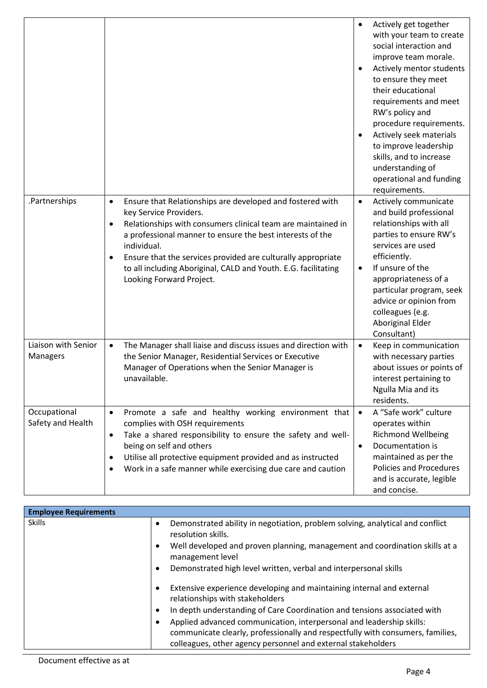|                                   |                                                                                                                                                                                                                                                                                                                                                                                                                         | Actively get together<br>$\bullet$<br>with your team to create<br>social interaction and<br>improve team morale.<br>Actively mentor students<br>$\bullet$<br>to ensure they meet<br>their educational<br>requirements and meet<br>RW's policy and<br>procedure requirements.<br>Actively seek materials<br>to improve leadership<br>skills, and to increase<br>understanding of<br>operational and funding<br>requirements. |
|-----------------------------------|-------------------------------------------------------------------------------------------------------------------------------------------------------------------------------------------------------------------------------------------------------------------------------------------------------------------------------------------------------------------------------------------------------------------------|-----------------------------------------------------------------------------------------------------------------------------------------------------------------------------------------------------------------------------------------------------------------------------------------------------------------------------------------------------------------------------------------------------------------------------|
| .Partnerships                     | Ensure that Relationships are developed and fostered with<br>$\bullet$<br>key Service Providers.<br>Relationships with consumers clinical team are maintained in<br>$\bullet$<br>a professional manner to ensure the best interests of the<br>individual.<br>Ensure that the services provided are culturally appropriate<br>to all including Aboriginal, CALD and Youth. E.G. facilitating<br>Looking Forward Project. | Actively communicate<br>$\bullet$<br>and build professional<br>relationships with all<br>parties to ensure RW's<br>services are used<br>efficiently.<br>If unsure of the<br>$\bullet$<br>appropriateness of a<br>particular program, seek<br>advice or opinion from<br>colleagues (e.g.<br>Aboriginal Elder<br>Consultant)                                                                                                  |
| Liaison with Senior<br>Managers   | The Manager shall liaise and discuss issues and direction with<br>$\bullet$<br>the Senior Manager, Residential Services or Executive<br>Manager of Operations when the Senior Manager is<br>unavailable.                                                                                                                                                                                                                | Keep in communication<br>$\bullet$<br>with necessary parties<br>about issues or points of<br>interest pertaining to<br>Ngulla Mia and its<br>residents.                                                                                                                                                                                                                                                                     |
| Occupational<br>Safety and Health | Promote a safe and healthy working environment that<br>$\bullet$<br>complies with OSH requirements<br>Take a shared responsibility to ensure the safety and well-<br>$\bullet$<br>being on self and others<br>Utilise all protective equipment provided and as instructed<br>Work in a safe manner while exercising due care and caution                                                                                | A "Safe work" culture<br>$\bullet$<br>operates within<br><b>Richmond Wellbeing</b><br>Documentation is<br>$\bullet$<br>maintained as per the<br><b>Policies and Procedures</b><br>and is accurate, legible<br>and concise.                                                                                                                                                                                                  |

| <b>Employee Requirements</b> |           |                                                                                                                                                        |
|------------------------------|-----------|--------------------------------------------------------------------------------------------------------------------------------------------------------|
| <b>Skills</b>                | $\bullet$ | Demonstrated ability in negotiation, problem solving, analytical and conflict<br>resolution skills.                                                    |
|                              |           | Well developed and proven planning, management and coordination skills at a<br>management level                                                        |
|                              |           | Demonstrated high level written, verbal and interpersonal skills                                                                                       |
|                              |           | Extensive experience developing and maintaining internal and external<br>relationships with stakeholders                                               |
|                              |           | In depth understanding of Care Coordination and tensions associated with                                                                               |
|                              |           | Applied advanced communication, interpersonal and leadership skills:<br>communicate clearly, professionally and respectfully with consumers, families, |
|                              |           | colleagues, other agency personnel and external stakeholders                                                                                           |